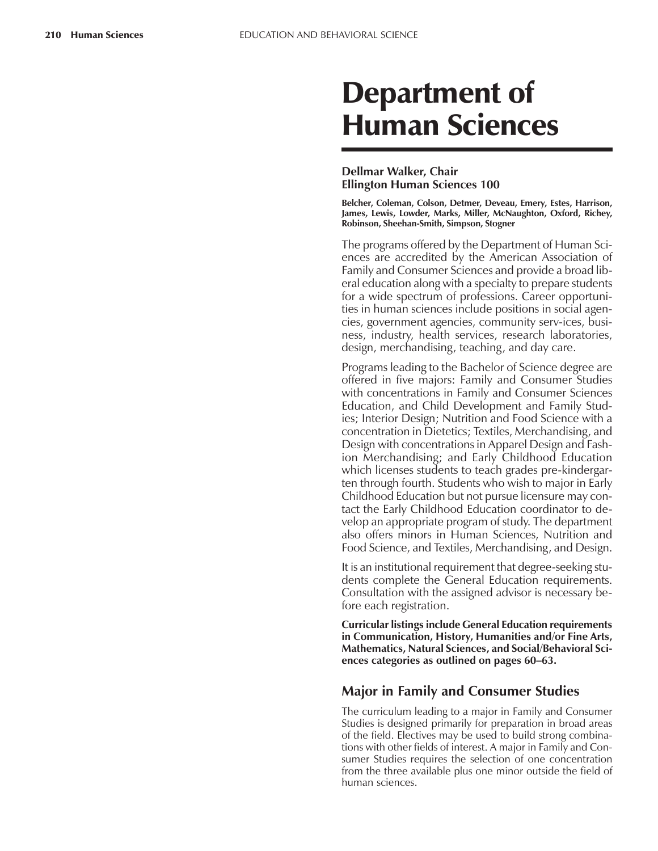# Department of Human Sciences

### **Dellmar Walker, Chair Ellington Human Sciences 100**

**Belcher, Coleman, Colson, Detmer, Deveau, Emery, Estes, Harrison, James, Lewis, Lowder, Marks, Miller, McNaughton, Oxford, Richey, Robinson, Sheehan-Smith, Simpson, Stogner**

The programs offered by the Department of Human Sciences are accredited by the American Association of Family and Consumer Sciences and provide a broad liberal education along with a specialty to prepare students for a wide spectrum of professions. Career opportunities in human sciences include positions in social agencies, government agencies, community serv-ices, business, industry, health services, research laboratories, design, merchandising, teaching, and day care.

Programs leading to the Bachelor of Science degree are offered in five majors: Family and Consumer Studies with concentrations in Family and Consumer Sciences Education, and Child Development and Family Studies; Interior Design; Nutrition and Food Science with a concentration in Dietetics; Textiles, Merchandising, and Design with concentrations in Apparel Design and Fashion Merchandising; and Early Childhood Education which licenses students to teach grades pre-kindergarten through fourth. Students who wish to major in Early Childhood Education but not pursue licensure may contact the Early Childhood Education coordinator to develop an appropriate program of study. The department also offers minors in Human Sciences, Nutrition and Food Science, and Textiles, Merchandising, and Design.

It is an institutional requirement that degree-seeking students complete the General Education requirements. Consultation with the assigned advisor is necessary before each registration.

**Curricular listings include General Education requirements in Communication, History, Humanities and/or Fine Arts, Mathematics, Natural Sciences, and Social/Behavioral Sci**ences categories as outlined on pages 60–63.

# **Major in Family and Consumer Studies**

The curriculum leading to a major in Family and Consumer Studies is designed primarily for preparation in broad areas of the field. Electives may be used to build strong combinations with other fields of interest. A major in Family and Consumer Studies requires the selection of one concentration from the three available plus one minor outside the field of human sciences.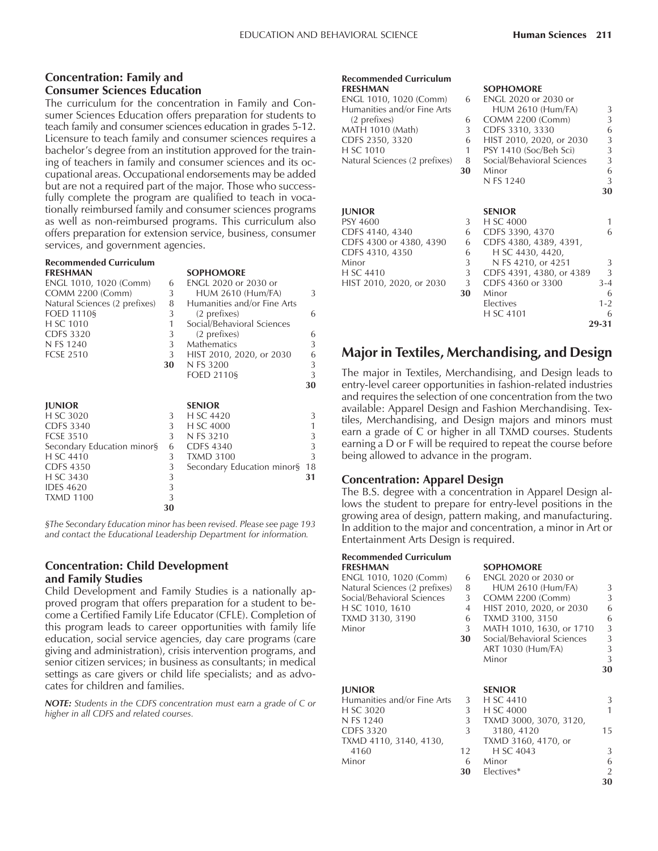### **Concentration: Family and Consumer Sciences Education**

The curriculum for the concentration in Family and Consumer Sciences Education offers preparation for students to teach family and consumer sciences education in grades 5-12. Licensure to teach family and consumer sciences requires a bachelor's degree from an institution approved for the training of teachers in family and consumer sciences and its occupational areas. Occupational endorsements may be added but are not a required part of the major. Those who successfully complete the program are qualified to teach in vocationally reimbursed family and consumer sciences programs as well as non-reimbursed programs. This curriculum also offers preparation for extension service, business, consumer services, and government agencies.

# **Recommended Curriculum**

**FRESHMANNE** 

| ENGL 1010, 1020 (Comm)        | 6  | ENGL 2020 or 2030 or        |    |
|-------------------------------|----|-----------------------------|----|
| <b>COMM 2200 (Comm)</b>       | 3  | <b>HUM 2610 (Hum/FA)</b>    | 3  |
| Natural Sciences (2 prefixes) | 8  | Humanities and/or Fine Arts |    |
| FOED 1110§                    | 3  | (2 prefixes)                | 6  |
| H SC 1010                     | 1  | Social/Behavioral Sciences  |    |
| <b>CDFS 3320</b>              | 3  | (2 prefixes)                | 6  |
| N FS 1240                     | 3  | <b>Mathematics</b>          | 3  |
| <b>FCSE 2510</b>              | 3  | HIST 2010, 2020, or 2030    | 6  |
|                               | 30 | N FS 3200                   | 3  |
|                               |    | <b>FOED 2110§</b>           | 3  |
|                               |    |                             | 30 |
|                               |    |                             |    |
| <b>JUNIOR</b>                 |    | <b>SENIOR</b>               |    |
| H SC 3020                     | 3  | H SC 4420                   | 3  |
| <b>CDFS 3340</b>              | 3  | H SC 4000                   | 1  |
| <b>FCSE 3510</b>              | 3  | N FS 3210                   | 3  |
| Secondary Education minor§    | 6  | <b>CDFS 4340</b>            | 3  |
| H SC 4410                     | 3  | <b>TXMD 3100</b>            | 3  |
| <b>CDFS 4350</b>              | 3  | Secondary Education minor§  | 18 |
| H SC 3430                     | 3  |                             | 31 |
| <b>IDES 4620</b>              | 3  |                             |    |
| <b>TXMD 1100</b>              | 3  |                             |    |
|                               | 30 |                             |    |
|                               |    |                             |    |

*ßThe Secondary Education minor has been revised. Please see page 193 and contact the Educational Leadership Department for information.*

### **Concentration: Child Development and Family Studies**

Child Development and Family Studies is a nationally approved program that offers preparation for a student to become a Certified Family Life Educator (CFLE). Completion of this program leads to career opportunities with family life education, social service agencies, day care programs (care giving and administration), crisis intervention programs, and senior citizen services; in business as consultants; in medical settings as care givers or child life specialists; and as advocates for children and families.

*NOTE: Students in the CDFS concentration must earn a grade of C or higher in all CDFS and related courses.*

# **Recommended Curriculum**

| ENGL 1010, 1020 (Comm)        | 6  | ENGL 2020 or 2030 or       |         |
|-------------------------------|----|----------------------------|---------|
| Humanities and/or Fine Arts   |    | <b>HUM 2610 (Hum/FA)</b>   | 3       |
| (2 prefixes)                  | 6  | <b>COMM 2200 (Comm)</b>    | 3       |
| MATH 1010 (Math)              | 3  | CDFS 3310, 3330            | 6       |
| CDFS 2350, 3320               | 6  | HIST 2010, 2020, or 2030   | 3       |
| H SC 1010                     | 1  | PSY 1410 (Soc/Beh Sci)     | 3       |
| Natural Sciences (2 prefixes) | 8  | Social/Behavioral Sciences | 3       |
|                               | 30 | Minor                      | 6       |
|                               |    | N FS 1240                  | 3       |
|                               |    |                            | 30      |
| <b>JUNIOR</b>                 |    | <b>SENIOR</b>              |         |
| PSY 4600                      | 3  | H SC 4000                  | 1       |
| CDFS 4140, 4340               | 6  | CDFS 3390, 4370            | 6       |
| CDFS 4300 or 4380, 4390       | 6  | CDFS 4380, 4389, 4391,     |         |
| CDFS 4310, 4350               | 6  | H SC 4430, 4420,           |         |
| Minor                         | 3  | N FS 4210, or 4251         | 3       |
| H SC 4410                     | 3  | CDFS 4391, 4380, or 4389   | 3       |
| HIST 2010, 2020, or 2030      | 3  | CDFS 4360 or 3300          | $3 - 4$ |
|                               | 30 | Minor                      | 6       |
|                               |    | Electives                  | $1 - 2$ |
|                               |    | H SC 4101                  | 6       |
|                               |    |                            | 29-31   |
|                               |    |                            |         |

**SOPHOMORE** 

# **Major in Textiles, Merchandising, and Design**

The major in Textiles, Merchandising, and Design leads to entry-level career opportunities in fashion-related industries and requires the selection of one concentration from the two available: Apparel Design and Fashion Merchandising. Textiles, Merchandising, and Design majors and minors must earn a grade of C or higher in all TXMD courses. Students earning a D or F will be required to repeat the course before being allowed to advance in the program.

### **Concentration: Apparel Design**

The B.S. degree with a concentration in Apparel Design allows the student to prepare for entry-level positions in the growing area of design, pattern making, and manufacturing. In addition to the major and concentration, a minor in Art or Entertainment Arts Design is required.

# **Recommended Curriculum**

| FRESHMAN                      |    | <b>SOPHOMORE</b>           |    |
|-------------------------------|----|----------------------------|----|
| ENGL 1010, 1020 (Comm)        | 6  | ENGL 2020 or 2030 or       |    |
| Natural Sciences (2 prefixes) | 8  | <b>HUM 2610 (Hum/FA)</b>   | 3  |
| Social/Behavioral Sciences    | 3  | COMM 2200 (Comm)           | 3  |
| H SC 1010, 1610               | 4  | HIST 2010, 2020, or 2030   | 6  |
| TXMD 3130, 3190               | 6  | TXMD 3100, 3150            | 6  |
| Minor                         | 3  | MATH 1010, 1630, or 1710   | 3  |
|                               | 30 | Social/Behavioral Sciences | 3  |
|                               |    | ART 1030 (Hum/FA)          | 3  |
|                               |    | Minor                      | 3  |
|                               |    |                            | 30 |
|                               |    |                            |    |
| <b>JUNIOR</b>                 |    | <b>SENIOR</b>              |    |
| Humanities and/or Fine Arts   | 3  | H SC 4410                  | 3  |
| H SC 3020                     | 3  | H SC 4000                  | 1  |
| N FS 1240                     | 3  | TXMD 3000, 3070, 3120,     |    |
| CDFS 3320                     | 3  | 3180, 4120                 | 15 |
| TXMD 4110, 3140, 4130,        |    | TXMD 3160, 4170, or        |    |
| 4160                          | 12 | H SC 4043                  | 3  |
| Minor                         | 6  | Minor                      | 6  |
|                               | 30 | Electives*                 | 2  |
|                               |    |                            | 30 |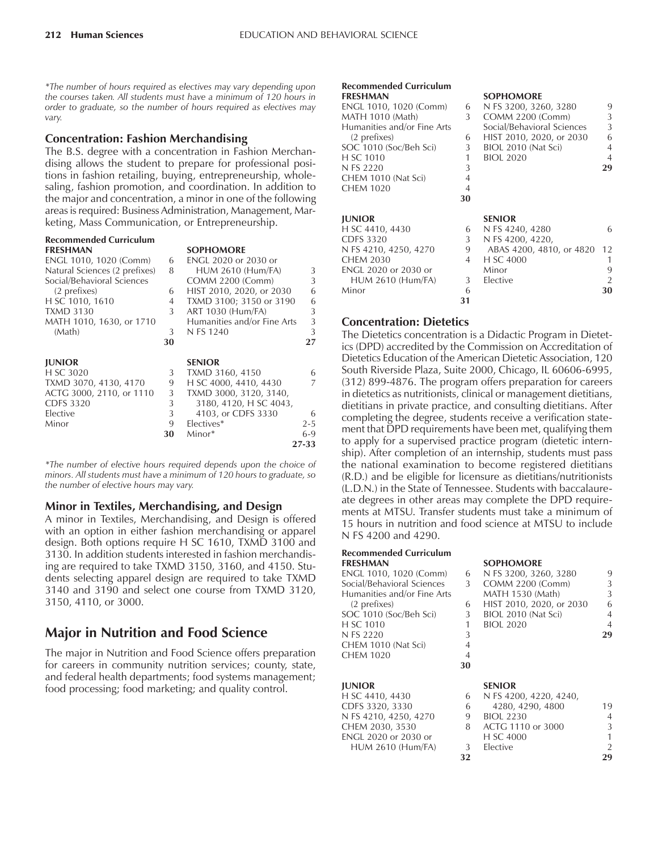*\*The number of hours required as electives may vary depending upon the courses taken. All students must have a minimum of 120 hours in order to graduate, so the number of hours required as electives may vary.*

### **Concentration: Fashion Merchandising**

The B.S. degree with a concentration in Fashion Merchandising allows the student to prepare for professional positions in fashion retailing, buying, entrepreneurship, wholesaling, fashion promotion, and coordination. In addition to the major and concentration, a minor in one of the following areas is required: Business Administration, Management, Marketing, Mass Communication, or Entrepreneurship.

*\*The number of elective hours required depends upon the choice of minors. All students must have a minimum of 120 hours to graduate, so the number of elective hours may vary.*

### **Minor in Textiles, Merchandising, and Design**

A minor in Textiles, Merchandising, and Design is offered with an option in either fashion merchandising or apparel design. Both options require H SC 1610, TXMD 3100 and 3130. In addition students interested in fashion merchandising are required to take TXMD 3150, 3160, and 4150. Students selecting apparel design are required to take TXMD 3140 and 3190 and select one course from TXMD 3120, 3150, 4110, or 3000.

# **Major in Nutrition and Food Science**

The major in Nutrition and Food Science offers preparation for careers in community nutrition services; county, state, and federal health departments; food systems management; food processing; food marketing; and quality control.

#### **Recommended Curriculum FRESHMAN SOPHOMORE**

| I NLƏHVIAN                  |                | <b>JULIU/VIUNL</b>         |                |
|-----------------------------|----------------|----------------------------|----------------|
| ENGL 1010, 1020 (Comm)      | 6              | N FS 3200, 3260, 3280      | 9              |
| MATH 1010 (Math)            | 3              | COMM 2200 (Comm)           | 3              |
| Humanities and/or Fine Arts |                | Social/Behavioral Sciences | 3              |
| (2 prefixes)                | 6              | HIST 2010, 2020, or 2030   | 6              |
| SOC 1010 (Soc/Beh Sci)      | 3              | BIOL 2010 (Nat Sci)        | $\overline{4}$ |
| H SC 1010                   | 1              | <b>BIOL 2020</b>           | $\overline{4}$ |
| N FS 2220                   | 3              |                            | 29             |
| CHEM 1010 (Nat Sci)         | $\overline{4}$ |                            |                |
| CHEM 1020                   | $\overline{4}$ |                            |                |
|                             | 30             |                            |                |
| <b>JUNIOR</b>               |                | <b>SENIOR</b>              |                |
| H SC 4410, 4430             | 6              | N FS 4240, 4280            | 6              |
| <b>CDFS 3320</b>            | 3 <sup>1</sup> | N FS 4200, 4220,           |                |
| N FS 4210, 4250, 4270       | 9              | ABAS 4200, 4810, or 4820   | 12             |
| CHEM 2030                   | 4              | H SC 4000                  | 1              |
| ENGL 2020 or 2030 or        |                | Minor                      | 9              |
| <b>HUM 2610 (Hum/FA)</b>    | 3              | Elective                   | 2              |
| Minor                       | 6              |                            | 30             |
|                             | 31             |                            |                |

### **Concentration: Dietetics**

The Dietetics concentration is a Didactic Program in Dietetics (DPD) accredited by the Commission on Accreditation of Dietetics Education of the American Dietetic Association, 120 South Riverside Plaza, Suite 2000, Chicago, IL 60606-6995, (312) 899-4876. The program offers preparation for careers in dietetics as nutritionists, clinical or management dietitians, dietitians in private practice, and consulting dietitians. After completing the degree, students receive a verification statement that DPD requirements have been met, qualifying them to apply for a supervised practice program (dietetic internship). After completion of an internship, students must pass the national examination to become registered dietitians (R.D.) and be eligible for licensure as dietitians/nutritionists (L.D.N.) in the State of Tennessee. Students with baccalaureate degrees in other areas may complete the DPD requirements at MTSU. Transfer students must take a minimum of 15 hours in nutrition and food science at MTSU to include N FS 4200 and 4290.

#### **Recommended Curriculum FRESHMAN SOPHOMORE**

ENGL 1010, 1020 (Comm) 6<br>Social/Behavioral Sciences 3 Social/Behavioral Sciences Humanities and/or Fine Arts  $(2 \text{ prefixes})$  6 SOC 1010 (Soc/Beh Sci) 3 H SC 1010 1 N FS 2220 3<br>CHEM 1010 (Nat Sci) 4 CHEM 1010 (Nat Sci) 4 CHEM 1020 4 **JUNIOR SENIOR**

| H SC 4410, 4430          |               | 6 N FS 4200, 4220, 4240, |
|--------------------------|---------------|--------------------------|
| CDFS 3320, 3330          | 6             | 4280, 4290, 4800         |
| N FS 4210, 4250, 4270    | 9             | BIOL 2230                |
| CHEM 2030, 3530          | 8             | ACTG 1110 or 3000        |
| ENGL 2020 or 2030 or     |               | H SC 4000                |
| <b>HUM 2610 (Hum/FA)</b> | $\mathcal{L}$ | Elective                 |
|                          |               |                          |

| <b>SOPHOMORI</b> |  |
|------------------|--|
|                  |  |

| N FS 3200, 3260, 3280    |   |
|--------------------------|---|
| COMM 2200 (Comm)         | ζ |
| MATH 1530 (Math)         | 3 |
| HIST 2010, 2020, or 2030 | ĥ |
| BIOL 2010 (Nat Sci)      |   |
| <b>BIOL 2020</b>         |   |
|                          |   |
|                          |   |

**30**

| H SC 4410, 4430          |    | 6 N FS 4200, 4220, 4240, |                |
|--------------------------|----|--------------------------|----------------|
| CDFS 3320, 3330          | 6  | 4280, 4290, 4800         | 19             |
| N FS 4210, 4250, 4270    | 9  | <b>BIOL 2230</b>         | $\overline{4}$ |
| CHEM 2030, 3530          | 8  | ACTG 1110 or 3000        | $\mathcal{L}$  |
| ENGL 2020 or 2030 or     |    | H SC 4000                | 1              |
| <b>HUM 2610 (Hum/FA)</b> | 3  | <b>Elective</b>          | $\mathcal{P}$  |
|                          | 32 |                          | 29             |
|                          |    |                          |                |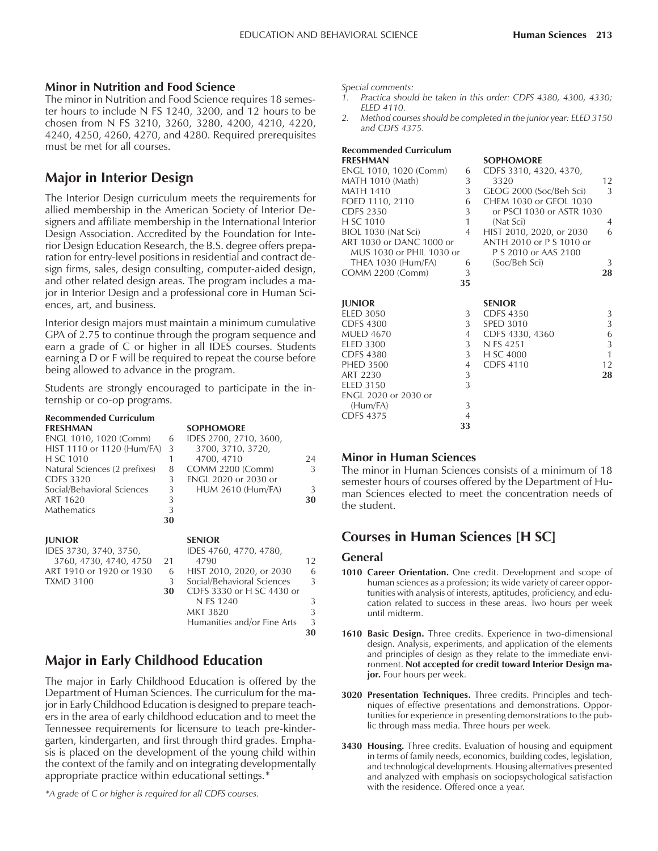### **Minor in Nutrition and Food Science**

The minor in Nutrition and Food Science requires 18 semester hours to include N FS 1240, 3200, and 12 hours to be chosen from N FS 3210, 3260, 3280, 4200, 4210, 4220, 4240, 4250, 4260, 4270, and 4280. Required prerequisites must be met for all courses.

# **Major in Interior Design**

The Interior Design curriculum meets the requirements for allied membership in the American Society of Interior Designers and affiliate membership in the International Interior Design Association. Accredited by the Foundation for Interior Design Education Research, the B.S. degree offers preparation for entry-level positions in residential and contract design firms, sales, design consulting, computer-aided design, and other related design areas. The program includes a major in Interior Design and a professional core in Human Sciences, art, and business.

Interior design majors must maintain a minimum cumulative GPA of 2.75 to continue through the program sequence and earn a grade of C or higher in all IDES courses. Students earning a D or F will be required to repeat the course before being allowed to advance in the program.

Students are strongly encouraged to participate in the internship or co-op programs.

# **Recommended Curriculum**

| <b>FRESHMAN</b>               |    | <b>SOPHOMORE</b>            |    |
|-------------------------------|----|-----------------------------|----|
| ENGL 1010, 1020 (Comm)        | 6  | IDES 2700, 2710, 3600,      |    |
| HIST 1110 or 1120 (Hum/FA)    | 3  | 3700, 3710, 3720,           |    |
| H SC 1010                     | 1  | 4700, 4710                  | 24 |
| Natural Sciences (2 prefixes) | 8  | <b>COMM 2200 (Comm)</b>     | 3  |
| CDFS 3320                     | 3  | <b>ENGL 2020 or 2030 or</b> |    |
| Social/Behavioral Sciences    | 3  | HUM 2610 (Hum/FA)           | 3  |
| ART 1620                      | 3  |                             | 30 |
| <b>Mathematics</b>            | 3  |                             |    |
|                               | 30 |                             |    |
| <b>JUNIOR</b>                 |    | <b>SENIOR</b>               |    |
| IDES 3730, 3740, 3750,        |    | IDES 4760, 4770, 4780,      |    |
| 3760, 4730, 4740, 4750        | 21 | 4790                        | 12 |
| ART 1910 or 1920 or 1930      | 6  | HIST 2010, 2020, or 2030    | 6  |
| <b>TXMD 3100</b>              | 3  | Social/Behavioral Sciences  | 3  |
|                               | 30 | CDFS 3330 or H SC 4430 or   |    |
|                               |    | N FS 1240                   | 3  |
|                               |    | MKT 3820                    | 3  |
|                               |    | Humanities and/or Fine Arts | 3  |
|                               |    |                             | 30 |

# **Major in Early Childhood Education**

The major in Early Childhood Education is offered by the Department of Human Sciences. The curriculum for the major in Early Childhood Education is designed to prepare teachers in the area of early childhood education and to meet the Tennessee requirements for licensure to teach pre-kindergarten, kindergarten, and first through third grades. Emphasis is placed on the development of the young child within the context of the family and on integrating developmentally appropriate practice within educational settings.\*

*\*A grade of C or higher is required for all CDFS courses.*

*Special comments:*

- *1. Practica should be taken in this order: CDFS 4380, 4300, 4330; ELED 4110.*
- *2. Method courses should be completed in the junior year: ELED 3150 and CDFS 4375.*

| <b>Recommended Curriculum</b> |                |                           |              |
|-------------------------------|----------------|---------------------------|--------------|
| <b>FRESHMAN</b>               |                | <b>SOPHOMORE</b>          |              |
| ENGL 1010, 1020 (Comm)        | 6              | CDFS 3310, 4320, 4370,    |              |
| MATH 1010 (Math)              | 3              | 3320                      | 12           |
| <b>MATH 1410</b>              | 3 <sup>1</sup> | GEOG 2000 (Soc/Beh Sci)   | 3            |
| FOED 1110, 2110               | 6              | CHEM 1030 or GEOL 1030    |              |
| <b>CDFS 2350</b>              | 3              | or PSCI 1030 or ASTR 1030 |              |
| H SC 1010                     | 1              | (Nat Sci)                 | 4            |
| BIOL 1030 (Nat Sci)           | 4              | HIST 2010, 2020, or 2030  | 6            |
| ART 1030 or DANC 1000 or      |                | ANTH 2010 or P S 1010 or  |              |
| MUS 1030 or PHIL 1030 or      |                | P S 2010 or AAS 2100      |              |
| THEA 1030 (Hum/FA)            | 6              | (Soc/Beh Sci)             | 3            |
| <b>COMM 2200 (Comm)</b>       | 3              |                           | 28           |
|                               | 35             |                           |              |
|                               |                |                           |              |
| <b>JUNIOR</b>                 |                | <b>SENIOR</b>             |              |
| <b>ELED 3050</b>              | 3              | <b>CDFS 4350</b>          | 3            |
| CDFS 4300                     | 3              | <b>SPED 3010</b>          | 3            |
| <b>MUED 4670</b>              | 4              | CDFS 4330, 4360           | 6            |
| <b>ELED 3300</b>              | 3              | N FS 4251                 | 3            |
| <b>CDFS 4380</b>              | 3              | H SC 4000                 | $\mathbf{1}$ |
| <b>PHED 3500</b>              | $\overline{4}$ | <b>CDFS 4110</b>          | 12           |
| ART 2230                      | 3              |                           | 28           |
| <b>ELED 3150</b>              | 3              |                           |              |
| ENGL 2020 or 2030 or          |                |                           |              |
| (Hum/FA)                      | 3              |                           |              |
| <b>CDFS 4375</b>              | $\overline{4}$ |                           |              |
|                               | 33             |                           |              |

### **Minor in Human Sciences**

The minor in Human Sciences consists of a minimum of 18 semester hours of courses offered by the Department of Human Sciences elected to meet the concentration needs of the student.

# **Courses in Human Sciences [H SC]**

### **General**

- **1010 Career Orientation.** One credit. Development and scope of human sciences as a profession; its wide variety of career opportunities with analysis of interests, aptitudes, proficiency, and education related to success in these areas. Two hours per week until midterm.
- **1610 Basic Design.** Three credits. Experience in two-dimensional design. Analysis, experiments, and application of the elements and principles of design as they relate to the immediate environment. **Not accepted for credit toward Interior Design major.** Four hours per week.
- **3020 Presentation Techniques.** Three credits. Principles and techniques of effective presentations and demonstrations. Opportunities for experience in presenting demonstrations to the public through mass media. Three hours per week.
- **3430 Housing.** Three credits. Evaluation of housing and equipment in terms of family needs, economics, building codes, legislation, and technological developments. Housing alternatives presented and analyzed with emphasis on sociopsychological satisfaction with the residence. Offered once a year.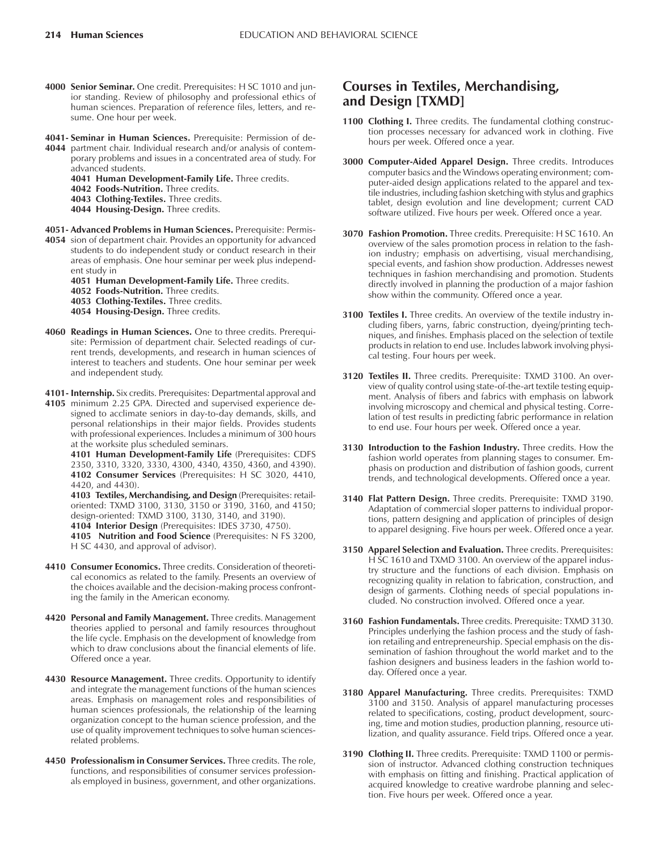- **4000 Senior Seminar.** One credit. Prerequisites: H SC 1010 and junior standing. Review of philosophy and professional ethics of human sciences. Preparation of reference files, letters, and resume. One hour per week.
- **4041- Seminar in Human Sciences.** Prerequisite: Permission of de-
- **4044** partment chair. Individual research and/or analysis of contemporary problems and issues in a concentrated area of study. For advanced students.
	- **4041 Human Development-Family Life.** Three credits.
	- **4042 Foods-Nutrition.** Three credits.
	- **4043 Clothing-Textiles.** Three credits.
	- **4044 Housing-Design.** Three credits.
- **4051- Advanced Problems in Human Sciences.** Prerequisite: Permis-
- **4054** sion of department chair. Provides an opportunity for advanced students to do independent study or conduct research in their areas of emphasis. One hour seminar per week plus independent study in
	- **4051 Human Development-Family Life.** Three credits.
	- **4052 Foods-Nutrition.** Three credits.
	- **4053 Clothing-Textiles.** Three credits.
	- **4054 Housing-Design.** Three credits.
- **4060 Readings in Human Sciences.** One to three credits. Prerequisite: Permission of department chair. Selected readings of current trends, developments, and research in human sciences of interest to teachers and students. One hour seminar per week and independent study.
- **4101- Internship.** Six credits. Prerequisites: Departmental approval and
- **4105** minimum 2.25 GPA. Directed and supervised experience designed to acclimate seniors in day-to-day demands, skills, and personal relationships in their major fields. Provides students with professional experiences. Includes a minimum of 300 hours at the worksite plus scheduled seminars.
	- **4101 Human Development-Family Life** (Prerequisites: CDFS 2350, 3310, 3320, 3330, 4300, 4340, 4350, 4360, and 4390). **4102 Consumer Services** (Prerequisites: H SC 3020, 4410, 4420, and 4430).
	- **4103 Textiles, Merchandising, and Design** (Prerequisites: retailoriented: TXMD 3100, 3130, 3150 or 3190, 3160, and 4150; design-oriented: TXMD 3100, 3130, 3140, and 3190). **4104 Interior Design** (Prerequisites: IDES 3730, 4750).
	- **4105 Nutrition and Food Science** (Prerequisites: N FS 3200, H SC 4430, and approval of advisor).
- **4410 Consumer Economics.** Three credits. Consideration of theoretical economics as related to the family. Presents an overview of the choices available and the decision-making process confronting the family in the American economy.
- **4420 Personal and Family Management.** Three credits. Management theories applied to personal and family resources throughout the life cycle. Emphasis on the development of knowledge from which to draw conclusions about the financial elements of life. Offered once a year.
- **4430 Resource Management.** Three credits. Opportunity to identify and integrate the management functions of the human sciences areas. Emphasis on management roles and responsibilities of human sciences professionals, the relationship of the learning organization concept to the human science profession, and the use of quality improvement techniques to solve human sciencesrelated problems.
- **4450 Professionalism in Consumer Services.** Three credits. The role, functions, and responsibilities of consumer services professionals employed in business, government, and other organizations.

# **Courses in Textiles, Merchandising, and Design [TXMD]**

- 1100 Clothing I. Three credits. The fundamental clothing construction processes necessary for advanced work in clothing. Five hours per week. Offered once a year.
- **3000 Computer-Aided Apparel Design.** Three credits. Introduces computer basics and the Windows operating environment; computer-aided design applications related to the apparel and textile industries, including fashion sketching with stylus and graphics tablet, design evolution and line development; current CAD software utilized. Five hours per week. Offered once a year.
- **3070 Fashion Promotion.** Three credits. Prerequisite: H SC 1610. An overview of the sales promotion process in relation to the fashion industry; emphasis on advertising, visual merchandising, special events, and fashion show production. Addresses newest techniques in fashion merchandising and promotion. Students directly involved in planning the production of a major fashion show within the community. Offered once a year.
- **3100 Textiles I.** Three credits. An overview of the textile industry including fibers, yarns, fabric construction, dyeing/printing techniques, and finishes. Emphasis placed on the selection of textile products in relation to end use. Includes labwork involving physical testing. Four hours per week.
- **3120 Textiles II.** Three credits. Prerequisite: TXMD 3100. An overview of quality control using state-of-the-art textile testing equipment. Analysis of fibers and fabrics with emphasis on labwork involving microscopy and chemical and physical testing. Correlation of test results in predicting fabric performance in relation to end use. Four hours per week. Offered once a year.
- **3130 Introduction to the Fashion Industry.** Three credits. How the fashion world operates from planning stages to consumer. Emphasis on production and distribution of fashion goods, current trends, and technological developments. Offered once a year.
- **3140 Flat Pattern Design.** Three credits. Prerequisite: TXMD 3190. Adaptation of commercial sloper patterns to individual proportions, pattern designing and application of principles of design to apparel designing. Five hours per week. Offered once a year.
- **3150 Apparel Selection and Evaluation.** Three credits. Prerequisites: H SC 1610 and TXMD 3100. An overview of the apparel industry structure and the functions of each division. Emphasis on recognizing quality in relation to fabrication, construction, and design of garments. Clothing needs of special populations included. No construction involved. Offered once a year.
- **3160 Fashion Fundamentals.** Three credits. Prerequisite: TXMD 3130. Principles underlying the fashion process and the study of fashion retailing and entrepreneurship. Special emphasis on the dissemination of fashion throughout the world market and to the fashion designers and business leaders in the fashion world today. Offered once a year.
- **3180 Apparel Manufacturing.** Three credits. Prerequisites: TXMD 3100 and 3150. Analysis of apparel manufacturing processes related to specifications, costing, product development, sourcing, time and motion studies, production planning, resource utilization, and quality assurance. Field trips. Offered once a year.
- **3190 Clothing II.** Three credits. Prerequisite: TXMD 1100 or permission of instructor. Advanced clothing construction techniques with emphasis on fitting and finishing. Practical application of acquired knowledge to creative wardrobe planning and selection. Five hours per week. Offered once a year.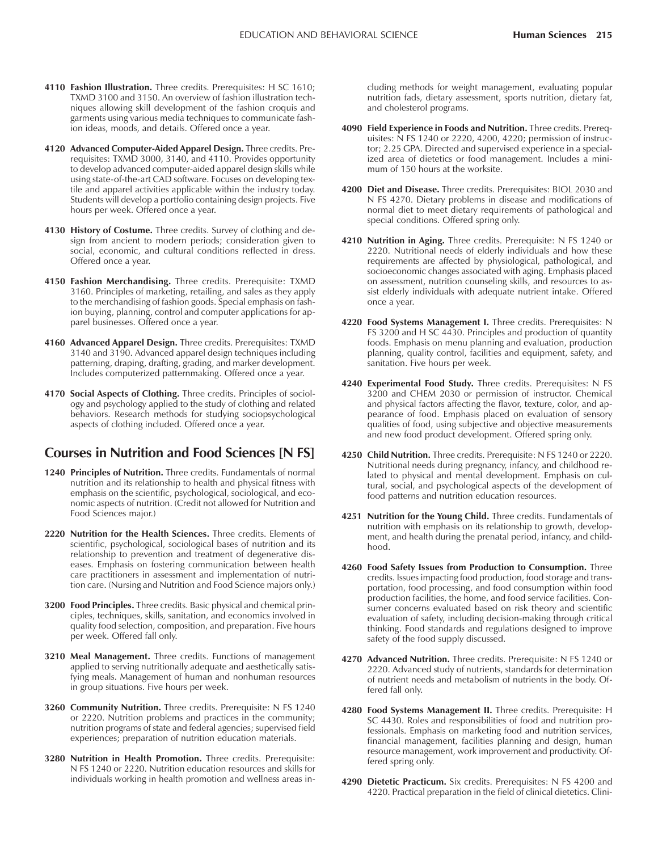- **4110 Fashion Illustration.** Three credits. Prerequisites: H SC 1610; TXMD 3100 and 3150. An overview of fashion illustration techniques allowing skill development of the fashion croquis and garments using various media techniques to communicate fashion ideas, moods, and details. Offered once a year.
- **4120 Advanced Computer-Aided Apparel Design.** Three credits. Prerequisites: TXMD 3000, 3140, and 4110. Provides opportunity to develop advanced computer-aided apparel design skills while using state-of-the-art CAD software. Focuses on developing textile and apparel activities applicable within the industry today. Students will develop a portfolio containing design projects. Five hours per week. Offered once a year.
- **4130 History of Costume.** Three credits. Survey of clothing and design from ancient to modern periods; consideration given to social, economic, and cultural conditions reflected in dress. Offered once a year.
- **4150 Fashion Merchandising.** Three credits. Prerequisite: TXMD 3160. Principles of marketing, retailing, and sales as they apply to the merchandising of fashion goods. Special emphasis on fashion buying, planning, control and computer applications for apparel businesses. Offered once a year.
- **4160 Advanced Apparel Design.** Three credits. Prerequisites: TXMD 3140 and 3190. Advanced apparel design techniques including patterning, draping, drafting, grading, and marker development. Includes computerized patternmaking. Offered once a year.
- **4170 Social Aspects of Clothing.** Three credits. Principles of sociology and psychology applied to the study of clothing and related behaviors. Research methods for studying sociopsychological aspects of clothing included. Offered once a year.

### **Courses in Nutrition and Food Sciences [N FS]**

- **1240 Principles of Nutrition.** Three credits. Fundamentals of normal nutrition and its relationship to health and physical fitness with emphasis on the scientific, psychological, sociological, and economic aspects of nutrition. (Credit not allowed for Nutrition and Food Sciences major.)
- **2220 Nutrition for the Health Sciences.** Three credits. Elements of scientific, psychological, sociological bases of nutrition and its relationship to prevention and treatment of degenerative diseases. Emphasis on fostering communication between health care practitioners in assessment and implementation of nutrition care. (Nursing and Nutrition and Food Science majors only.)
- **3200 Food Principles.** Three credits. Basic physical and chemical principles, techniques, skills, sanitation, and economics involved in quality food selection, composition, and preparation. Five hours per week. Offered fall only.
- **3210 Meal Management.** Three credits. Functions of management applied to serving nutritionally adequate and aesthetically satisfying meals. Management of human and nonhuman resources in group situations. Five hours per week.
- **3260 Community Nutrition.** Three credits. Prerequisite: N FS 1240 or 2220. Nutrition problems and practices in the community; nutrition programs of state and federal agencies; supervised field experiences; preparation of nutrition education materials.
- **3280 Nutrition in Health Promotion.** Three credits. Prerequisite: N FS 1240 or 2220. Nutrition education resources and skills for individuals working in health promotion and wellness areas in-

cluding methods for weight management, evaluating popular nutrition fads, dietary assessment, sports nutrition, dietary fat, and cholesterol programs.

- **4090 Field Experience in Foods and Nutrition.** Three credits. Prerequisites: N FS 1240 or 2220, 4200, 4220; permission of instructor; 2.25 GPA. Directed and supervised experience in a specialized area of dietetics or food management. Includes a minimum of 150 hours at the worksite.
- **4200 Diet and Disease.** Three credits. Prerequisites: BIOL 2030 and N FS 4270. Dietary problems in disease and modifications of normal diet to meet dietary requirements of pathological and special conditions. Offered spring only.
- **4210 Nutrition in Aging.** Three credits. Prerequisite: N FS 1240 or 2220. Nutritional needs of elderly individuals and how these requirements are affected by physiological, pathological, and socioeconomic changes associated with aging. Emphasis placed on assessment, nutrition counseling skills, and resources to assist elderly individuals with adequate nutrient intake. Offered once a year.
- **4220 Food Systems Management I.** Three credits. Prerequisites: N FS 3200 and H SC 4430. Principles and production of quantity foods. Emphasis on menu planning and evaluation, production planning, quality control, facilities and equipment, safety, and sanitation. Five hours per week.
- **4240 Experimental Food Study.** Three credits. Prerequisites: N FS 3200 and CHEM 2030 or permission of instructor. Chemical and physical factors affecting the flavor, texture, color, and appearance of food. Emphasis placed on evaluation of sensory qualities of food, using subjective and objective measurements and new food product development. Offered spring only.
- **4250 Child Nutrition.** Three credits. Prerequisite: N FS 1240 or 2220. Nutritional needs during pregnancy, infancy, and childhood related to physical and mental development. Emphasis on cultural, social, and psychological aspects of the development of food patterns and nutrition education resources.
- **4251 Nutrition for the Young Child.** Three credits. Fundamentals of nutrition with emphasis on its relationship to growth, development, and health during the prenatal period, infancy, and childhood.
- **4260 Food Safety Issues from Production to Consumption.** Three credits. Issues impacting food production, food storage and transportation, food processing, and food consumption within food production facilities, the home, and food service facilities. Consumer concerns evaluated based on risk theory and scientific evaluation of safety, including decision-making through critical thinking. Food standards and regulations designed to improve safety of the food supply discussed.
- **4270 Advanced Nutrition.** Three credits. Prerequisite: N FS 1240 or 2220. Advanced study of nutrients, standards for determination of nutrient needs and metabolism of nutrients in the body. Offered fall only.
- **4280 Food Systems Management II.** Three credits. Prerequisite: H SC 4430. Roles and responsibilities of food and nutrition professionals. Emphasis on marketing food and nutrition services, financial management, facilities planning and design, human resource management, work improvement and productivity. Offered spring only.
- **4290 Dietetic Practicum.** Six credits. Prerequisites: N FS 4200 and 4220. Practical preparation in the field of clinical dietetics. Clini-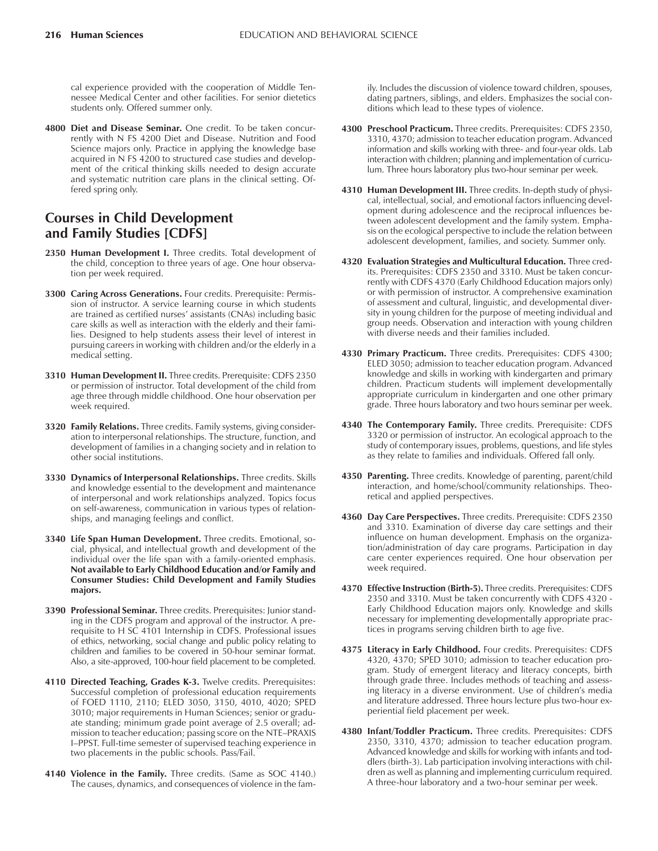cal experience provided with the cooperation of Middle Tennessee Medical Center and other facilities. For senior dietetics students only. Offered summer only.

**4800 Diet and Disease Seminar.** One credit. To be taken concurrently with N FS 4200 Diet and Disease. Nutrition and Food Science majors only. Practice in applying the knowledge base acquired in N FS 4200 to structured case studies and development of the critical thinking skills needed to design accurate and systematic nutrition care plans in the clinical setting. Offered spring only.

# **Courses in Child Development and Family Studies [CDFS]**

- 2350 Human Development I. Three credits. Total development of the child, conception to three years of age. One hour observation per week required.
- **3300 Caring Across Generations.** Four credits. Prerequisite: Permission of instructor. A service learning course in which students are trained as certified nurses' assistants (CNAs) including basic care skills as well as interaction with the elderly and their families. Designed to help students assess their level of interest in pursuing careers in working with children and/or the elderly in a medical setting.
- **3310 Human Development II.** Three credits. Prerequisite: CDFS 2350 or permission of instructor. Total development of the child from age three through middle childhood. One hour observation per week required.
- **3320 Family Relations.** Three credits. Family systems, giving consideration to interpersonal relationships. The structure, function, and development of families in a changing society and in relation to other social institutions.
- **3330 Dynamics of Interpersonal Relationships.** Three credits. Skills and knowledge essential to the development and maintenance of interpersonal and work relationships analyzed. Topics focus on self-awareness, communication in various types of relationships, and managing feelings and conflict.
- **3340 Life Span Human Development.** Three credits. Emotional, social, physical, and intellectual growth and development of the individual over the life span with a family-oriented emphasis. **Not available to Early Childhood Education and/or Family and Consumer Studies: Child Development and Family Studies majors.**
- **3390 Professional Seminar.** Three credits. Prerequisites: Junior standing in the CDFS program and approval of the instructor. A prerequisite to H SC 4101 Internship in CDFS. Professional issues of ethics, networking, social change and public policy relating to children and families to be covered in 50-hour seminar format. Also, a site-approved, 100-hour field placement to be completed.
- **4110 Directed Teaching, Grades K-3.** Twelve credits. Prerequisites: Successful completion of professional education requirements of FOED 1110, 2110; ELED 3050, 3150, 4010, 4020; SPED 3010; major requirements in Human Sciences; senior or graduate standing; minimum grade point average of 2.5 overall; admission to teacher education; passing score on the NTE-PRAXIS I-PPST. Full-time semester of supervised teaching experience in two placements in the public schools. Pass/Fail.
- **4140 Violence in the Family.** Three credits. (Same as SOC 4140.) The causes, dynamics, and consequences of violence in the fam-

ily. Includes the discussion of violence toward children, spouses, dating partners, siblings, and elders. Emphasizes the social conditions which lead to these types of violence.

- **4300 Preschool Practicum.** Three credits. Prerequisites: CDFS 2350, 3310, 4370; admission to teacher education program. Advanced information and skills working with three- and four-year olds. Lab interaction with children; planning and implementation of curriculum. Three hours laboratory plus two-hour seminar per week.
- **4310 Human Development III.** Three credits. In-depth study of physical, intellectual, social, and emotional factors influencing development during adolescence and the reciprocal influences between adolescent development and the family system. Emphasis on the ecological perspective to include the relation between adolescent development, families, and society. Summer only.
- **4320 Evaluation Strategies and Multicultural Education.** Three credits. Prerequisites: CDFS 2350 and 3310. Must be taken concurrently with CDFS 4370 (Early Childhood Education majors only) or with permission of instructor. A comprehensive examination of assessment and cultural, linguistic, and developmental diversity in young children for the purpose of meeting individual and group needs. Observation and interaction with young children with diverse needs and their families included.
- **4330 Primary Practicum.** Three credits. Prerequisites: CDFS 4300; ELED 3050; admission to teacher education program. Advanced knowledge and skills in working with kindergarten and primary children. Practicum students will implement developmentally appropriate curriculum in kindergarten and one other primary grade. Three hours laboratory and two hours seminar per week.
- **4340 The Contemporary Family.** Three credits. Prerequisite: CDFS 3320 or permission of instructor. An ecological approach to the study of contemporary issues, problems, questions, and life styles as they relate to families and individuals. Offered fall only.
- **4350 Parenting.** Three credits. Knowledge of parenting, parent/child interaction, and home/school/community relationships. Theoretical and applied perspectives.
- **4360 Day Care Perspectives.** Three credits. Prerequisite: CDFS 2350 and 3310. Examination of diverse day care settings and their influence on human development. Emphasis on the organization/administration of day care programs. Participation in day care center experiences required. One hour observation per week required.
- **4370 Effective Instruction (Birth-5).** Three credits. Prerequisites: CDFS 2350 and 3310. Must be taken concurrently with CDFS 4320 - Early Childhood Education majors only. Knowledge and skills necessary for implementing developmentally appropriate practices in programs serving children birth to age five.
- **4375 Literacy in Early Childhood.** Four credits. Prerequisites: CDFS 4320, 4370; SPED 3010; admission to teacher education program. Study of emergent literacy and literacy concepts, birth through grade three. Includes methods of teaching and assessing literacy in a diverse environment. Use of children's media and literature addressed. Three hours lecture plus two-hour experiential field placement per week.
- **4380 Infant/Toddler Practicum.** Three credits. Prerequisites: CDFS 2350, 3310, 4370; admission to teacher education program. Advanced knowledge and skills for working with infants and toddlers (birth-3). Lab participation involving interactions with children as well as planning and implementing curriculum required. A three-hour laboratory and a two-hour seminar per week.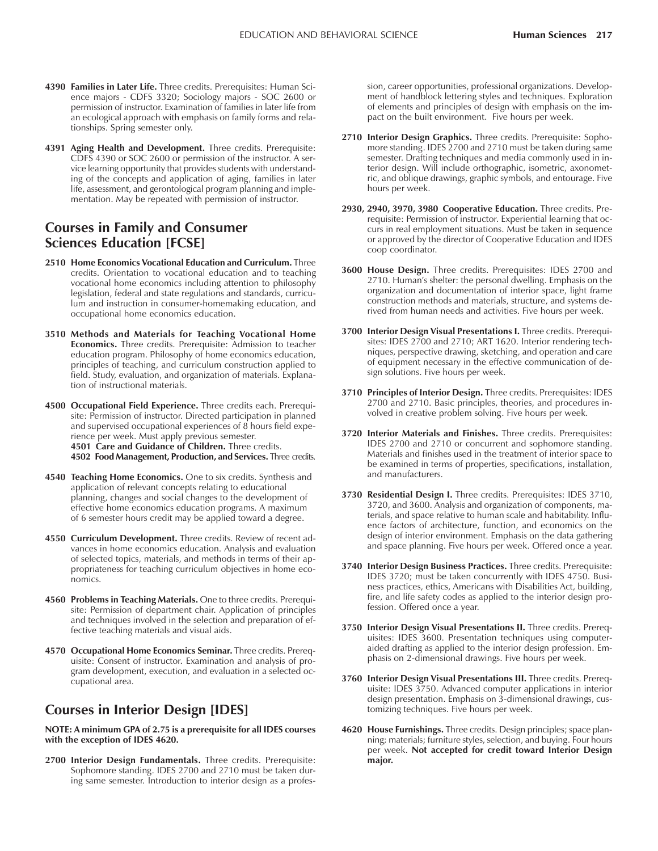- **4390 Families in Later Life.** Three credits. Prerequisites: Human Science majors - CDFS 3320; Sociology majors - SOC 2600 or permission of instructor. Examination of families in later life from an ecological approach with emphasis on family forms and relationships. Spring semester only.
- **4391 Aging Health and Development.** Three credits. Prerequisite: CDFS 4390 or SOC 2600 or permission of the instructor. A service learning opportunity that provides students with understanding of the concepts and application of aging, families in later life, assessment, and gerontological program planning and implementation. May be repeated with permission of instructor.

### **Courses in Family and Consumer Sciences Education [FCSE]**

- **2510 Home Economics Vocational Education and Curriculum.** Three credits. Orientation to vocational education and to teaching vocational home economics including attention to philosophy legislation, federal and state regulations and standards, curriculum and instruction in consumer-homemaking education, and occupational home economics education.
- **3510 Methods and Materials for Teaching Vocational Home Economics.** Three credits. Prerequisite: Admission to teacher education program. Philosophy of home economics education, principles of teaching, and curriculum construction applied to field. Study, evaluation, and organization of materials. Explanation of instructional materials.
- **4500 Occupational Field Experience.** Three credits each. Prerequisite: Permission of instructor. Directed participation in planned and supervised occupational experiences of 8 hours field experience per week. Must apply previous semester. **4501 Care and Guidance of Children.** Three credits. **4502 Food Management, Production, and Services.** Three credits.
- **4540 Teaching Home Economics.** One to six credits. Synthesis and application of relevant concepts relating to educational planning, changes and social changes to the development of effective home economics education programs. A maximum of 6 semester hours credit may be applied toward a degree.
- **4550 Curriculum Development.** Three credits. Review of recent advances in home economics education. Analysis and evaluation of selected topics, materials, and methods in terms of their appropriateness for teaching curriculum objectives in home economics.
- **4560 Problems in Teaching Materials.** One to three credits. Prerequisite: Permission of department chair. Application of principles and techniques involved in the selection and preparation of effective teaching materials and visual aids.
- **4570 Occupational Home Economics Seminar.** Three credits. Prerequisite: Consent of instructor. Examination and analysis of program development, execution, and evaluation in a selected occupational area.

# **Courses in Interior Design [IDES]**

**NOTE: A minimum GPA of 2.75 is a prerequisite for all IDES courses with the exception of IDES 4620.**

**2700 Interior Design Fundamentals.** Three credits. Prerequisite: Sophomore standing. IDES 2700 and 2710 must be taken during same semester. Introduction to interior design as a profession, career opportunities, professional organizations. Development of handblock lettering styles and techniques. Exploration of elements and principles of design with emphasis on the impact on the built environment. Five hours per week.

- **2710 Interior Design Graphics.** Three credits. Prerequisite: Sophomore standing. IDES 2700 and 2710 must be taken during same semester. Drafting techniques and media commonly used in interior design. Will include orthographic, isometric, axonometric, and oblique drawings, graphic symbols, and entourage. Five hours per week.
- **2930, 2940, 3970, 3980 Cooperative Education.** Three credits. Prerequisite: Permission of instructor. Experiential learning that occurs in real employment situations. Must be taken in sequence or approved by the director of Cooperative Education and IDES coop coordinator.
- **3600 House Design.** Three credits. Prerequisites: IDES 2700 and 2710. Human's shelter: the personal dwelling. Emphasis on the organization and documentation of interior space, light frame construction methods and materials, structure, and systems derived from human needs and activities. Five hours per week.
- **3700 Interior Design Visual Presentations I.** Three credits. Prerequisites: IDES 2700 and 2710; ART 1620. Interior rendering techniques, perspective drawing, sketching, and operation and care of equipment necessary in the effective communication of design solutions. Five hours per week.
- **3710 Principles of Interior Design.** Three credits. Prerequisites: IDES 2700 and 2710. Basic principles, theories, and procedures involved in creative problem solving. Five hours per week.
- **3720 Interior Materials and Finishes.** Three credits. Prerequisites: IDES 2700 and 2710 or concurrent and sophomore standing. Materials and finishes used in the treatment of interior space to be examined in terms of properties, specifications, installation, and manufacturers.
- **3730 Residential Design I.** Three credits. Prerequisites: IDES 3710, 3720, and 3600. Analysis and organization of components, materials, and space relative to human scale and habitability. Influence factors of architecture, function, and economics on the design of interior environment. Emphasis on the data gathering and space planning. Five hours per week. Offered once a year.
- **3740 Interior Design Business Practices.** Three credits. Prerequisite: IDES 3720; must be taken concurrently with IDES 4750. Business practices, ethics, Americans with Disabilities Act, building, fire, and life safety codes as applied to the interior design profession. Offered once a year.
- 3750 Interior Design Visual Presentations II. Three credits. Prerequisites: IDES 3600. Presentation techniques using computeraided drafting as applied to the interior design profession. Emphasis on 2-dimensional drawings. Five hours per week.
- **3760 Interior Design Visual Presentations III.** Three credits. Prerequisite: IDES 3750. Advanced computer applications in interior design presentation. Emphasis on 3-dimensional drawings, customizing techniques. Five hours per week.
- **4620 House Furnishings.** Three credits. Design principles; space planning; materials; furniture styles, selection, and buying. Four hours per week. **Not accepted for credit toward Interior Design major.**